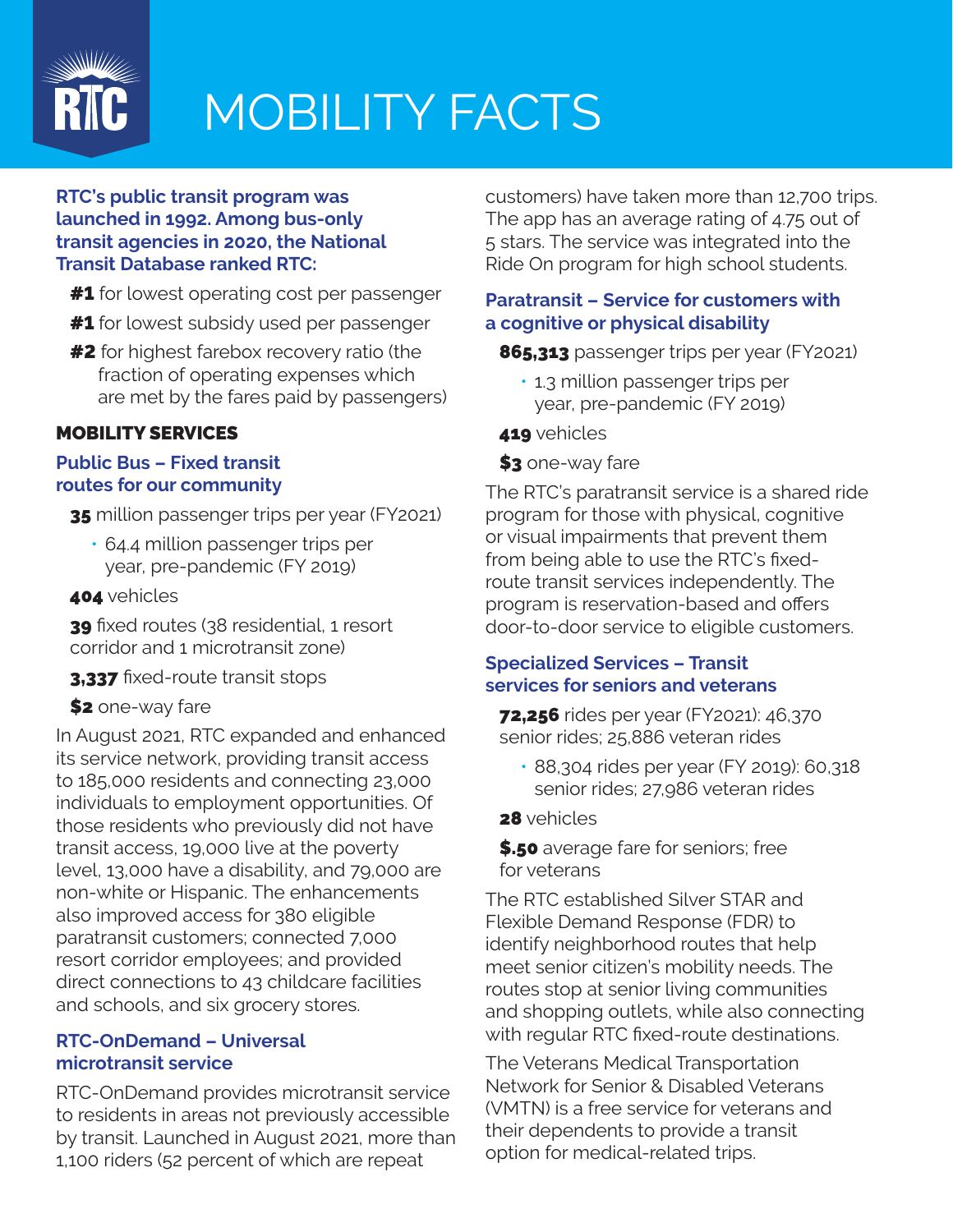

## MOBILITY FACTS

### **RTC's public transit program was launched in 1992. Among bus-only transit agencies in 2020, the National Transit Database ranked RTC:**

- **#1** for lowest operating cost per passenger
- **#1** for lowest subsidy used per passenger
- **#2** for highest farebox recovery ratio (the fraction of operating expenses which are met by the fares paid by passengers)

### MOBILITY SERVICES

### **Public Bus – Fixed transit routes for our community**

35 million passenger trips per year (FY2021)

- 64.4 million passenger trips per year, pre-pandemic (FY 2019)
- **404** vehicles

39 fixed routes (38 residential, 1 resort corridor and 1 microtransit zone)

3,337 fixed-route transit stops

\$2 one-way fare

In August 2021, RTC expanded and enhanced its service network, providing transit access to 185,000 residents and connecting 23,000 individuals to employment opportunities. Of those residents who previously did not have transit access, 19,000 live at the poverty level, 13,000 have a disability, and 79,000 are non-white or Hispanic. The enhancements also improved access for 380 eligible paratransit customers; connected 7,000 resort corridor employees; and provided direct connections to 43 childcare facilities and schools, and six grocery stores.

### **RTC-OnDemand – Universal microtransit service**

RTC-OnDemand provides microtransit service to residents in areas not previously accessible by transit. Launched in August 2021, more than 1,100 riders (52 percent of which are repeat

customers) have taken more than 12,700 trips. The app has an average rating of 4.75 out of 5 stars. The service was integrated into the Ride On program for high school students.

### **Paratransit – Service for customers with a cognitive or physical disability**

865,313 passenger trips per year (FY2021)

- 1.3 million passenger trips per year, pre-pandemic (FY 2019)
- 419 vehicles
- \$3 one-way fare

The RTC's paratransit service is a shared ride program for those with physical, cognitive or visual impairments that prevent them from being able to use the RTC's fixedroute transit services independently. The program is reservation-based and offers door-to-door service to eligible customers.

### **Specialized Services – Transit services for seniors and veterans**

**72,256** rides per year (FY2021): 46,370 senior rides; 25,886 veteran rides

- 88,304 rides per year (FY 2019): 60,318 senior rides; 27,986 veteran rides
- 28 vehicles

\$.50 average fare for seniors; free for veterans

The RTC established Silver STAR and Flexible Demand Response (FDR) to identify neighborhood routes that help meet senior citizen's mobility needs. The routes stop at senior living communities and shopping outlets, while also connecting with regular RTC fixed-route destinations.

The Veterans Medical Transportation Network for Senior & Disabled Veterans (VMTN) is a free service for veterans and their dependents to provide a transit option for medical-related trips.